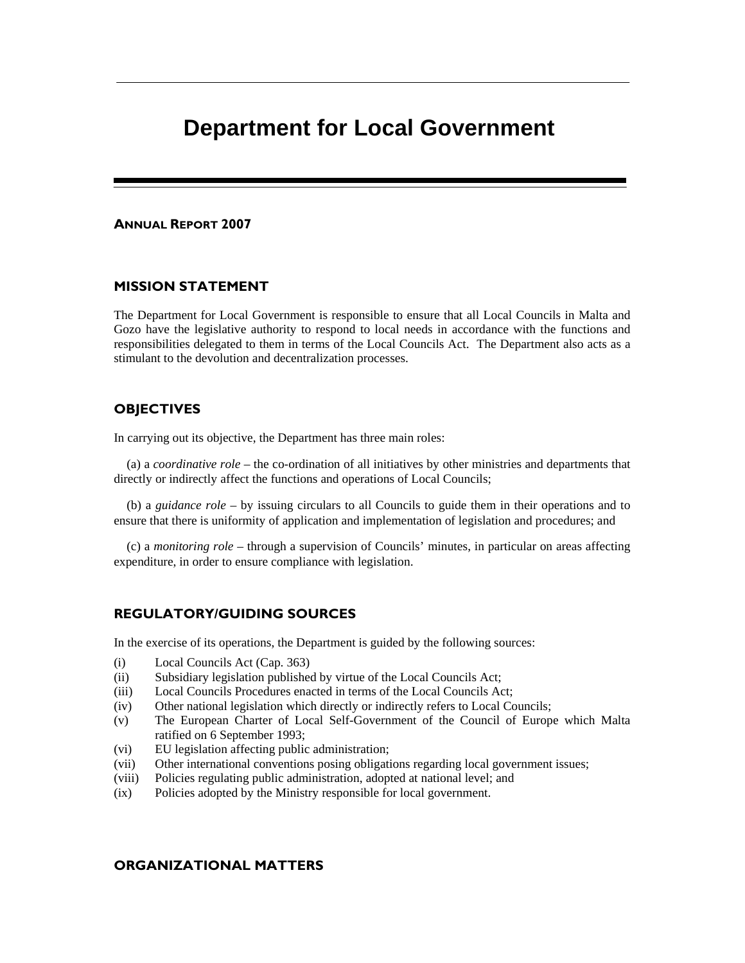# **Department for Local Government**

#### ANNUAL REPORT 2007

#### MISSION STATEMENT

The Department for Local Government is responsible to ensure that all Local Councils in Malta and Gozo have the legislative authority to respond to local needs in accordance with the functions and responsibilities delegated to them in terms of the Local Councils Act. The Department also acts as a stimulant to the devolution and decentralization processes.

#### **OBJECTIVES**

In carrying out its objective, the Department has three main roles:

 (a) a *coordinative role* – the co-ordination of all initiatives by other ministries and departments that directly or indirectly affect the functions and operations of Local Councils;

 (b) a *guidance role* – by issuing circulars to all Councils to guide them in their operations and to ensure that there is uniformity of application and implementation of legislation and procedures; and

 (c) a *monitoring role* – through a supervision of Councils' minutes, in particular on areas affecting expenditure, in order to ensure compliance with legislation.

#### REGULATORY/GUIDING SOURCES

In the exercise of its operations, the Department is guided by the following sources:

- (i) Local Councils Act (Cap. 363)
- (ii) Subsidiary legislation published by virtue of the Local Councils Act;
- (iii) Local Councils Procedures enacted in terms of the Local Councils Act;
- (iv) Other national legislation which directly or indirectly refers to Local Councils;
- (v) The European Charter of Local Self-Government of the Council of Europe which Malta ratified on 6 September 1993;
- (vi) EU legislation affecting public administration;
- (vii) Other international conventions posing obligations regarding local government issues;
- (viii) Policies regulating public administration, adopted at national level; and
- (ix) Policies adopted by the Ministry responsible for local government.

### ORGANIZATIONAL MATTERS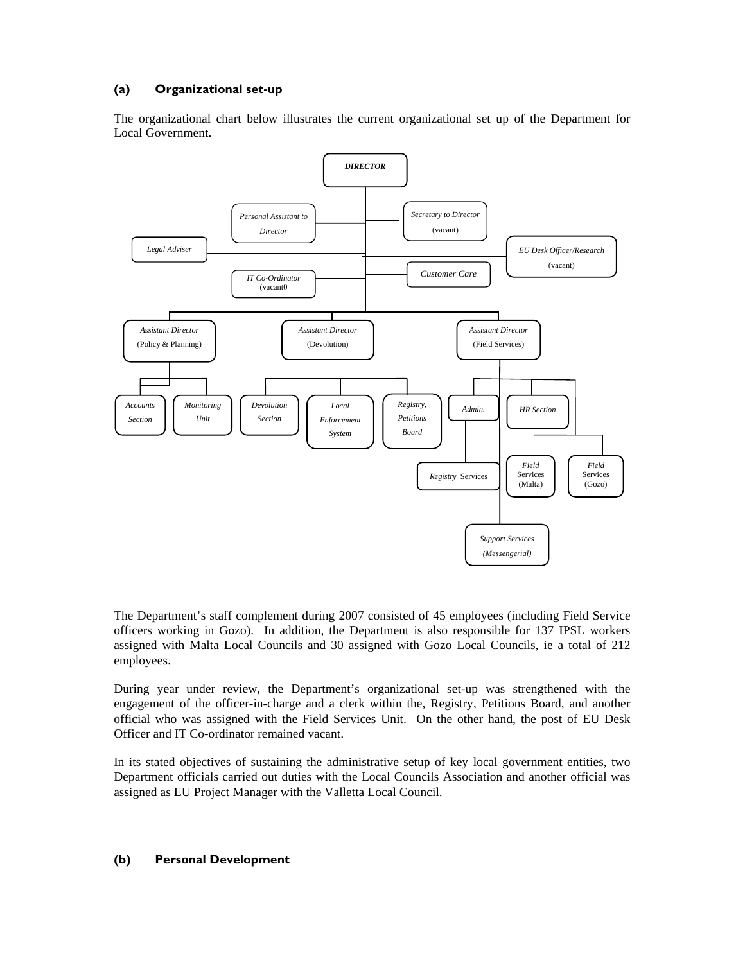### (a) Organizational set-up

The organizational chart below illustrates the current organizational set up of the Department for Local Government.



The Department's staff complement during 2007 consisted of 45 employees (including Field Service officers working in Gozo). In addition, the Department is also responsible for 137 IPSL workers assigned with Malta Local Councils and 30 assigned with Gozo Local Councils, ie a total of 212 employees.

During year under review, the Department's organizational set-up was strengthened with the engagement of the officer-in-charge and a clerk within the, Registry, Petitions Board, and another official who was assigned with the Field Services Unit. On the other hand, the post of EU Desk Officer and IT Co-ordinator remained vacant.

In its stated objectives of sustaining the administrative setup of key local government entities, two Department officials carried out duties with the Local Councils Association and another official was assigned as EU Project Manager with the Valletta Local Council.

#### (b) Personal Development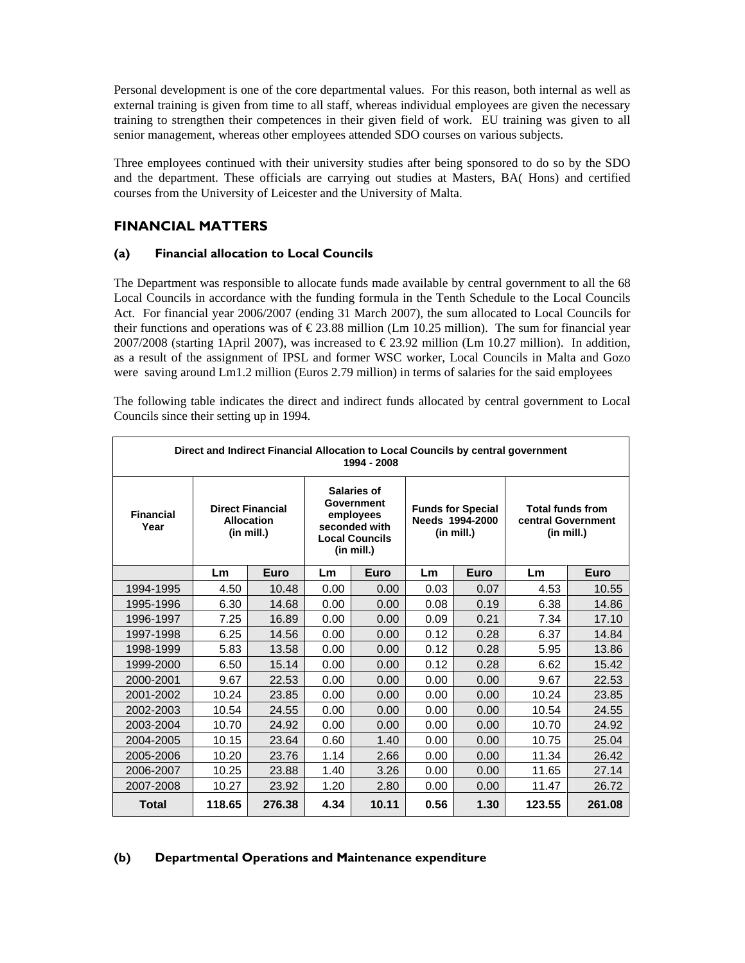Personal development is one of the core departmental values. For this reason, both internal as well as external training is given from time to all staff, whereas individual employees are given the necessary training to strengthen their competences in their given field of work. EU training was given to all senior management, whereas other employees attended SDO courses on various subjects.

Three employees continued with their university studies after being sponsored to do so by the SDO and the department. These officials are carrying out studies at Masters, BA( Hons) and certified courses from the University of Leicester and the University of Malta.

# FINANCIAL MATTERS

### (a) Financial allocation to Local Councils

The Department was responsible to allocate funds made available by central government to all the 68 Local Councils in accordance with the funding formula in the Tenth Schedule to the Local Councils Act. For financial year 2006/2007 (ending 31 March 2007), the sum allocated to Local Councils for their functions and operations was of  $\epsilon$  23.88 million (Lm 10.25 million). The sum for financial year 2007/2008 (starting 1April 2007), was increased to  $\in$  23.92 million (Lm 10.27 million). In addition, as a result of the assignment of IPSL and former WSC worker, Local Councils in Malta and Gozo were saving around Lm1.2 million (Euros 2.79 million) in terms of salaries for the said employees

The following table indicates the direct and indirect funds allocated by central government to Local Councils since their setting up in 1994.

| Direct and Indirect Financial Allocation to Local Councils by central government<br>1994 - 2008 |                                                            |        |                                                                                                |       |                                                           |      |                                                                  |        |
|-------------------------------------------------------------------------------------------------|------------------------------------------------------------|--------|------------------------------------------------------------------------------------------------|-------|-----------------------------------------------------------|------|------------------------------------------------------------------|--------|
| <b>Financial</b><br>Year                                                                        | <b>Direct Financial</b><br><b>Allocation</b><br>(in mill.) |        | Salaries of<br>Government<br>employees<br>seconded with<br><b>Local Councils</b><br>(in mill.) |       | <b>Funds for Special</b><br>Needs 1994-2000<br>(in mill.) |      | <b>Total funds from</b><br>central Government<br>$(in$ mill. $)$ |        |
|                                                                                                 | Lm                                                         | Euro   | Lm                                                                                             | Euro  | Lm                                                        | Euro | Lm                                                               | Euro   |
| 1994-1995                                                                                       | 4.50                                                       | 10.48  | 0.00                                                                                           | 0.00  | 0.03                                                      | 0.07 | 4.53                                                             | 10.55  |
| 1995-1996                                                                                       | 6.30                                                       | 14.68  | 0.00                                                                                           | 0.00  | 0.08                                                      | 0.19 | 6.38                                                             | 14.86  |
| 1996-1997                                                                                       | 7.25                                                       | 16.89  | 0.00                                                                                           | 0.00  | 0.09                                                      | 0.21 | 7.34                                                             | 17.10  |
| 1997-1998                                                                                       | 6.25                                                       | 14.56  | 0.00                                                                                           | 0.00  | 0.12                                                      | 0.28 | 6.37                                                             | 14.84  |
| 1998-1999                                                                                       | 5.83                                                       | 13.58  | 0.00                                                                                           | 0.00  | 0.12                                                      | 0.28 | 5.95                                                             | 13.86  |
| 1999-2000                                                                                       | 6.50                                                       | 15.14  | 0.00                                                                                           | 0.00  | 0.12                                                      | 0.28 | 6.62                                                             | 15.42  |
| 2000-2001                                                                                       | 9.67                                                       | 22.53  | 0.00                                                                                           | 0.00  | 0.00                                                      | 0.00 | 9.67                                                             | 22.53  |
| 2001-2002                                                                                       | 10.24                                                      | 23.85  | 0.00                                                                                           | 0.00  | 0.00                                                      | 0.00 | 10.24                                                            | 23.85  |
| 2002-2003                                                                                       | 10.54                                                      | 24.55  | 0.00                                                                                           | 0.00  | 0.00                                                      | 0.00 | 10.54                                                            | 24.55  |
| 2003-2004                                                                                       | 10.70                                                      | 24.92  | 0.00                                                                                           | 0.00  | 0.00                                                      | 0.00 | 10.70                                                            | 24.92  |
| 2004-2005                                                                                       | 10.15                                                      | 23.64  | 0.60                                                                                           | 1.40  | 0.00                                                      | 0.00 | 10.75                                                            | 25.04  |
| 2005-2006                                                                                       | 10.20                                                      | 23.76  | 1.14                                                                                           | 2.66  | 0.00                                                      | 0.00 | 11.34                                                            | 26.42  |
| 2006-2007                                                                                       | 10.25                                                      | 23.88  | 1.40                                                                                           | 3.26  | 0.00                                                      | 0.00 | 11.65                                                            | 27.14  |
| 2007-2008                                                                                       | 10.27                                                      | 23.92  | 1.20                                                                                           | 2.80  | 0.00                                                      | 0.00 | 11.47                                                            | 26.72  |
| <b>Total</b>                                                                                    | 118.65                                                     | 276.38 | 4.34                                                                                           | 10.11 | 0.56                                                      | 1.30 | 123.55                                                           | 261.08 |

### (b) Departmental Operations and Maintenance expenditure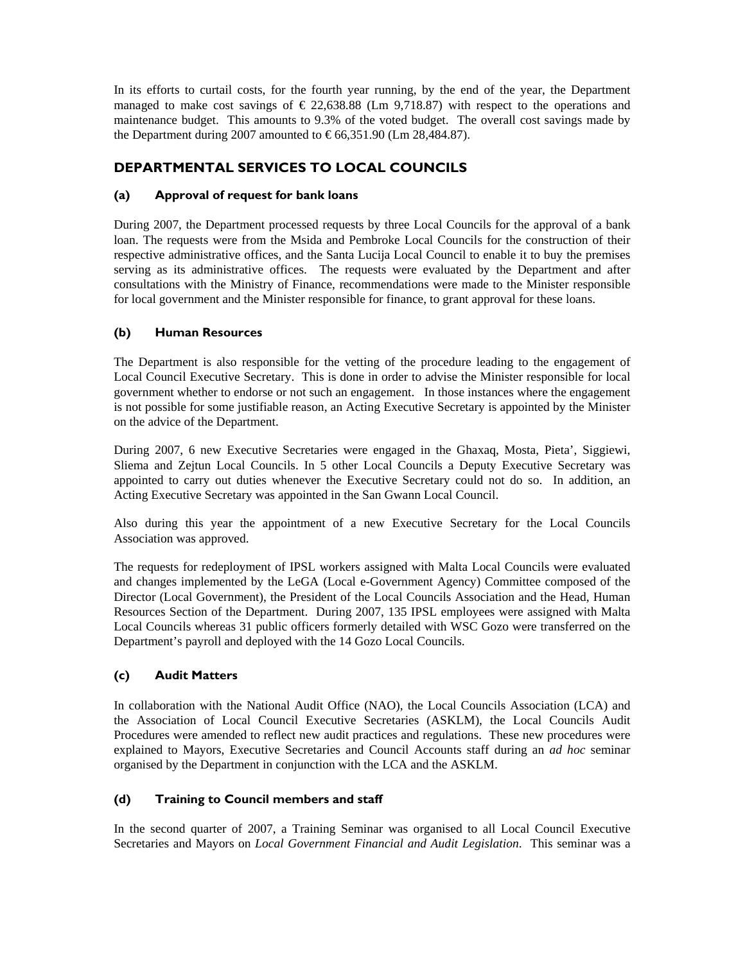In its efforts to curtail costs, for the fourth year running, by the end of the year, the Department managed to make cost savings of  $\epsilon$  22,638.88 (Lm 9,718.87) with respect to the operations and maintenance budget. This amounts to 9.3% of the voted budget. The overall cost savings made by the Department during 2007 amounted to  $\in$  66,351.90(Lm 28,484.87).

# DEPARTMENTAL SERVICES TO LOCAL COUNCILS

### (a) Approval of request for bank loans

During 2007, the Department processed requests by three Local Councils for the approval of a bank loan. The requests were from the Msida and Pembroke Local Councils for the construction of their respective administrative offices, and the Santa Lucija Local Council to enable it to buy the premises serving as its administrative offices. The requests were evaluated by the Department and after consultations with the Ministry of Finance, recommendations were made to the Minister responsible for local government and the Minister responsible for finance, to grant approval for these loans.

### (b) Human Resources

The Department is also responsible for the vetting of the procedure leading to the engagement of Local Council Executive Secretary. This is done in order to advise the Minister responsible for local government whether to endorse or not such an engagement. In those instances where the engagement is not possible for some justifiable reason, an Acting Executive Secretary is appointed by the Minister on the advice of the Department.

During 2007, 6 new Executive Secretaries were engaged in the Ghaxaq, Mosta, Pieta', Siggiewi, Sliema and Zejtun Local Councils. In 5 other Local Councils a Deputy Executive Secretary was appointed to carry out duties whenever the Executive Secretary could not do so. In addition, an Acting Executive Secretary was appointed in the San Gwann Local Council.

Also during this year the appointment of a new Executive Secretary for the Local Councils Association was approved.

The requests for redeployment of IPSL workers assigned with Malta Local Councils were evaluated and changes implemented by the LeGA (Local e-Government Agency) Committee composed of the Director (Local Government), the President of the Local Councils Association and the Head, Human Resources Section of the Department. During 2007, 135 IPSL employees were assigned with Malta Local Councils whereas 31 public officers formerly detailed with WSC Gozo were transferred on the Department's payroll and deployed with the 14 Gozo Local Councils.

# (c) Audit Matters

In collaboration with the National Audit Office (NAO), the Local Councils Association (LCA) and the Association of Local Council Executive Secretaries (ASKLM), the Local Councils Audit Procedures were amended to reflect new audit practices and regulations. These new procedures were explained to Mayors, Executive Secretaries and Council Accounts staff during an *ad hoc* seminar organised by the Department in conjunction with the LCA and the ASKLM.

# (d) Training to Council members and staff

In the second quarter of 2007, a Training Seminar was organised to all Local Council Executive Secretaries and Mayors on *Local Government Financial and Audit Legislation*. This seminar was a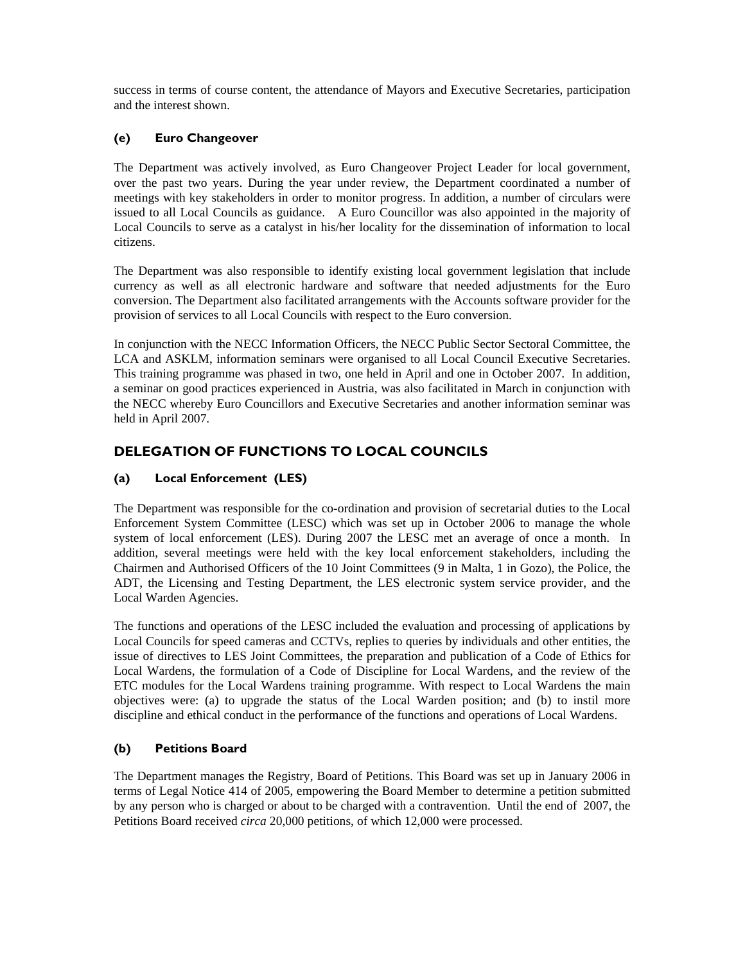success in terms of course content, the attendance of Mayors and Executive Secretaries, participation and the interest shown.

### (e) Euro Changeover

The Department was actively involved, as Euro Changeover Project Leader for local government, over the past two years. During the year under review, the Department coordinated a number of meetings with key stakeholders in order to monitor progress. In addition, a number of circulars were issued to all Local Councils as guidance. A Euro Councillor was also appointed in the majority of Local Councils to serve as a catalyst in his/her locality for the dissemination of information to local citizens.

The Department was also responsible to identify existing local government legislation that include currency as well as all electronic hardware and software that needed adjustments for the Euro conversion. The Department also facilitated arrangements with the Accounts software provider for the provision of services to all Local Councils with respect to the Euro conversion.

In conjunction with the NECC Information Officers, the NECC Public Sector Sectoral Committee, the LCA and ASKLM, information seminars were organised to all Local Council Executive Secretaries. This training programme was phased in two, one held in April and one in October 2007. In addition, a seminar on good practices experienced in Austria, was also facilitated in March in conjunction with the NECC whereby Euro Councillors and Executive Secretaries and another information seminar was held in April 2007.

# DELEGATION OF FUNCTIONS TO LOCAL COUNCILS

# (a) Local Enforcement (LES)

The Department was responsible for the co-ordination and provision of secretarial duties to the Local Enforcement System Committee (LESC) which was set up in October 2006 to manage the whole system of local enforcement (LES). During 2007 the LESC met an average of once a month. In addition, several meetings were held with the key local enforcement stakeholders, including the Chairmen and Authorised Officers of the 10 Joint Committees (9 in Malta, 1 in Gozo), the Police, the ADT, the Licensing and Testing Department, the LES electronic system service provider, and the Local Warden Agencies.

The functions and operations of the LESC included the evaluation and processing of applications by Local Councils for speed cameras and CCTVs, replies to queries by individuals and other entities, the issue of directives to LES Joint Committees, the preparation and publication of a Code of Ethics for Local Wardens, the formulation of a Code of Discipline for Local Wardens, and the review of the ETC modules for the Local Wardens training programme. With respect to Local Wardens the main objectives were: (a) to upgrade the status of the Local Warden position; and (b) to instil more discipline and ethical conduct in the performance of the functions and operations of Local Wardens.

### (b) Petitions Board

The Department manages the Registry, Board of Petitions. This Board was set up in January 2006 in terms of Legal Notice 414 of 2005, empowering the Board Member to determine a petition submitted by any person who is charged or about to be charged with a contravention. Until the end of 2007, the Petitions Board received *circa* 20,000 petitions, of which 12,000 were processed.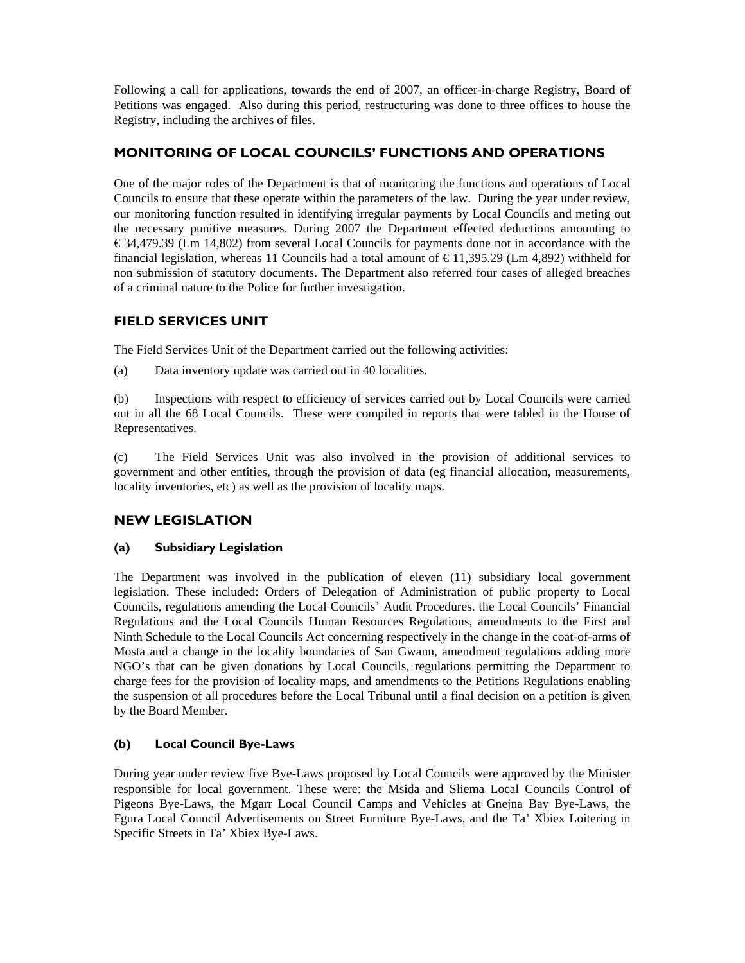Following a call for applications, towards the end of 2007, an officer-in-charge Registry, Board of Petitions was engaged. Also during this period, restructuring was done to three offices to house the Registry, including the archives of files.

# MONITORING OF LOCAL COUNCILS' FUNCTIONS AND OPERATIONS

One of the major roles of the Department is that of monitoring the functions and operations of Local Councils to ensure that these operate within the parameters of the law. During the year under review, our monitoring function resulted in identifying irregular payments by Local Councils and meting out the necessary punitive measures. During 2007 the Department effected deductions amounting to  $\epsilon$  34,479.39 (Lm 14,802) from several Local Councils for payments done not in accordance with the financial legislation, whereas 11 Councils had a total amount of  $\in$  11,395.29 (Lm 4,892) withheld for non submission of statutory documents. The Department also referred four cases of alleged breaches of a criminal nature to the Police for further investigation.

# FIELD SERVICES UNIT

The Field Services Unit of the Department carried out the following activities:

(a) Data inventory update was carried out in 40 localities.

(b) Inspections with respect to efficiency of services carried out by Local Councils were carried out in all the 68 Local Councils. These were compiled in reports that were tabled in the House of Representatives.

(c) The Field Services Unit was also involved in the provision of additional services to government and other entities, through the provision of data (eg financial allocation, measurements, locality inventories, etc) as well as the provision of locality maps.

# NEW LEGISLATION

### (a) Subsidiary Legislation

The Department was involved in the publication of eleven (11) subsidiary local government legislation. These included: Orders of Delegation of Administration of public property to Local Councils, regulations amending the Local Councils' Audit Procedures. the Local Councils' Financial Regulations and the Local Councils Human Resources Regulations, amendments to the First and Ninth Schedule to the Local Councils Act concerning respectively in the change in the coat-of-arms of Mosta and a change in the locality boundaries of San Gwann, amendment regulations adding more NGO's that can be given donations by Local Councils, regulations permitting the Department to charge fees for the provision of locality maps, and amendments to the Petitions Regulations enabling the suspension of all procedures before the Local Tribunal until a final decision on a petition is given by the Board Member.

# (b) Local Council Bye-Laws

During year under review five Bye-Laws proposed by Local Councils were approved by the Minister responsible for local government. These were: the Msida and Sliema Local Councils Control of Pigeons Bye-Laws, the Mgarr Local Council Camps and Vehicles at Gnejna Bay Bye-Laws, the Fgura Local Council Advertisements on Street Furniture Bye-Laws, and the Ta' Xbiex Loitering in Specific Streets in Ta' Xbiex Bye-Laws.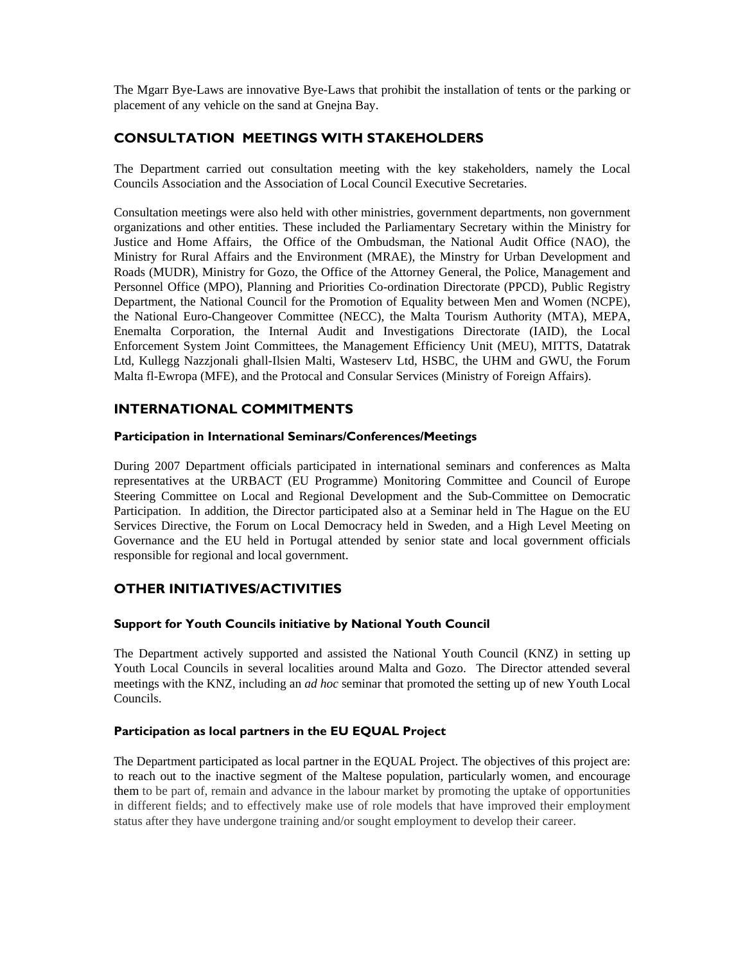The Mgarr Bye-Laws are innovative Bye-Laws that prohibit the installation of tents or the parking or placement of any vehicle on the sand at Gnejna Bay.

### CONSULTATION MEETINGS WITH STAKEHOLDERS

The Department carried out consultation meeting with the key stakeholders, namely the Local Councils Association and the Association of Local Council Executive Secretaries.

Consultation meetings were also held with other ministries, government departments, non government organizations and other entities. These included the Parliamentary Secretary within the Ministry for Justice and Home Affairs, the Office of the Ombudsman, the National Audit Office (NAO), the Ministry for Rural Affairs and the Environment (MRAE), the Minstry for Urban Development and Roads (MUDR), Ministry for Gozo, the Office of the Attorney General, the Police, Management and Personnel Office (MPO), Planning and Priorities Co-ordination Directorate (PPCD), Public Registry Department, the National Council for the Promotion of Equality between Men and Women (NCPE), the National Euro-Changeover Committee (NECC), the Malta Tourism Authority (MTA), MEPA, Enemalta Corporation, the Internal Audit and Investigations Directorate (IAID), the Local Enforcement System Joint Committees, the Management Efficiency Unit (MEU), MITTS, Datatrak Ltd, Kullegg Nazzjonali ghall-Ilsien Malti, Wasteserv Ltd, HSBC, the UHM and GWU, the Forum Malta fl-Ewropa (MFE), and the Protocal and Consular Services (Ministry of Foreign Affairs).

### INTERNATIONAL COMMITMENTS

#### Participation in International Seminars/Conferences/Meetings

During 2007 Department officials participated in international seminars and conferences as Malta representatives at the URBACT (EU Programme) Monitoring Committee and Council of Europe Steering Committee on Local and Regional Development and the Sub-Committee on Democratic Participation. In addition, the Director participated also at a Seminar held in The Hague on the EU Services Directive, the Forum on Local Democracy held in Sweden, and a High Level Meeting on Governance and the EU held in Portugal attended by senior state and local government officials responsible for regional and local government.

# OTHER INITIATIVES/ACTIVITIES

#### Support for Youth Councils initiative by National Youth Council

The Department actively supported and assisted the National Youth Council (KNZ) in setting up Youth Local Councils in several localities around Malta and Gozo. The Director attended several meetings with the KNZ, including an *ad hoc* seminar that promoted the setting up of new Youth Local Councils.

#### Participation as local partners in the EU EQUAL Project

The Department participated as local partner in the EQUAL Project. The objectives of this project are: to reach out to the inactive segment of the Maltese population, particularly women, and encourage them to be part of, remain and advance in the labour market by promoting the uptake of opportunities in different fields; and to effectively make use of role models that have improved their employment status after they have undergone training and/or sought employment to develop their career.